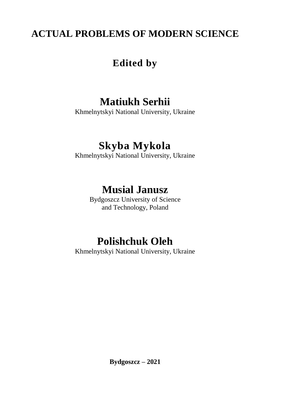## **ACTUAL PROBLEMS OF MODERN SCIENCE**

## **Edited by**

## **Matiukh Serhii**

Khmelnytskyi National University, Ukraine

## **Skyba Mykola**

Khmelnytskyi National University, Ukraine

## **Musial Janusz**

Bydgoszcz University of Science and Technology, Poland

# **Polishchuk Oleh**

Khmelnytskyi National University, Ukraine

**Bydgoszcz – 2021**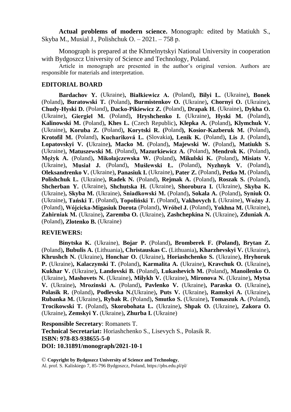**Actual problems of modern science.** Monograph: edited by Matiukh S., Skyba M., Musial J., Polishchuk O. – 2021. – 758 р.

Monograph is prepared at the Khmelnytskyi National University in cooperation with Bydgoszcz University of Science and Technology, Poland.

Article in monograph are presented in the author's original version. Authors are responsible for materials and interpretation.

#### **EDITORIAL BOARD**

**Bardachov Y.** (Ukraine)**, Białkiewicz A.** (Poland)**, Bilyi L.** (Ukraine)**, Bonek**  (Poland)**, Buratowski T.** (Poland)**, Burmistenkov O.** (Ukraine)**, Chornyi O.** (Ukraine)**, Chudy-Hyski D.** (Poland)**, Dacko-Pikiewicz Z.** (Poland)**, Drapak H.** (Ukraine)**, Dykha O.**  (Ukraine)**, Giergiel М.** (Poland)**, Hryshchenko I.** (Ukraine)**, Hyski M.** (Poland)**, Kalinowski M.** (Poland)**, Khes L.** (Czech Republic)**, Klepka A.** (Poland)**, Klymchuk V.**  (Ukraine)**, Koruba Z.** (Poland)**, Korytski R. (**Poland**), Kosior-Kazberuk M.** (Poland)**, Krotofil M.** (Poland)**, Kuchariková L. (**Slovakia**), Lenik K.** (Poland)**, Lis J.** (Poland)**, Lopatovskyi V. (**Ukraine**), Macko M.** (Poland)**, Majewski W.** (Poland)**, Matiukh S.**  (Ukraine)**, Matuszewski M.** (Poland)**, Mazurkiewicz A.** (Poland)**, Mendrok K.** (Poland)**, Mężyk A.** (Poland)**, Mikołajczewska W.** (Poland)**, Mikulski K.** (Poland)**, Misiats V.**  (Ukraine)**, Musiał J.** (Poland)**, Muślewski Ł.** (Poland)**, Nyzhnyk V.** (Poland)**, Oleksandrenko V.** (Ukraine)**, Panasiuk I.** (Ukraine)**, Pater Z.** (Poland)**, Petko M.** (Poland)**, Polishchuk L.** (Ukraine)**, Radek N.** (Poland)**, Rejmak A.** (Poland)**, Roszak S.** (Poland)**, Shcherban Y.** (Ukraine)**, Shchutska H.** (Ukraine)**, Shorobura I.** (Ukraine)**, Skyba K.**  (Ukraine)**, Skyba M.** (Ukraine)**, Śniadkowski M.** (Poland)**, Sokala A.** (Poland)**, Syniuk O.**  (Ukraine)**, Tański Т.** (Poland)**, Topoliński T.** (Poland)**, Vakhovych I.** (Ukraine)**, Woźny J.**  (Poland)**, Wójcicka-Migasiuk Dorota** (Poland)**, Wróbel J.** (Poland)**, Yokhna M.** (Ukraine)**, Zahirniak М.** (Ukraine)**, Zaremba O.** (Ukraine)**, Zashchepkina N.** (Ukraine)**, Zduniak A.**  (Poland)**, Zlotenko B.** (Ukraine)

#### **REVIEWERS:**

**Binytska K.** (Ukraine), **Bojar P.** (Poland)**, Bromberek F. (Poland), Brytan Z.** (Poland)**, Bubulis A.** (Lithuania)**, Christauskas C.** (Lithuania)**, Kharzhevskyi V.** (Ukraine)**, Khrushch N.** (Ukraine)**, Honchar O.** (Ukraine)**, Horiashchenko S.** (Ukraine)**, Hryhoruk P.** (Ukraine)**, Kalaczynski T.** (Poland)**, Karmalita A.** (Ukraine)**, Kravchuk O.** (Ukraine)**, Kukhar V.** (Ukraine)**, Landovski B.** (Poland)**, Lukashevich M.** (Poland)**, Manoilenko O.**  (Ukraine)**, Mashovets N.** (Ukraine)**, Milykh V.** (Ukraine)**, Mironova N.** (Ukraine)**, Mytsa V.** (Ukraine)**, Mrozinski А.** (Poland)**, Pavlenko V.** (Ukraine)**, Paraska O.** (Ukraine)**, Polasik R.** (Poland)**, Podlevska N.**(Ukraine)**, Puts V.** (Ukraine)**, Ramskyi A.** (Ukraine)**, Rubanka M.** (Ukraine)**, Rybak R.** (Poland)**, Smutko S.** (Ukraine)**, Tomaszuk A.** (Poland)**, Trocikowski T.** (Poland)**, Skorobohata L.** (Ukraine)**, Shpak O.** (Ukraine)**, Zakora O.**  (Ukraine)**, Zemskyi Y.** (Ukraine)**, Zhurba I.** (Ukraine)

**Responsible Secretary**: Romanets T. **Technical Secretariat:** Horiashchenko S., Lisevych S., Polasik R. **ISBN: 978-83-938655-5-0 DOI: 10.31891/monograph/2021-10-1**

© **Copyright by Bydgoszcz University of Science and Technology**, Al. prof. S. Kaliskiego 7, 85-796 Bydgoszcz, Poland, https://pbs.edu.pl/pl/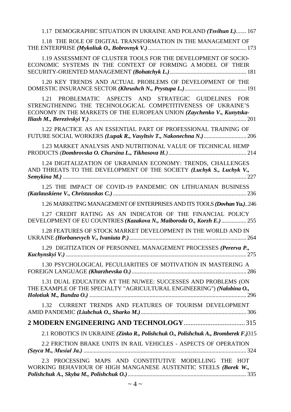| 1.17 DEMOGRAPHIC SITUATION IN UKRAINE AND POLAND (Tsvihun I.) 167                                                                                                                              |
|------------------------------------------------------------------------------------------------------------------------------------------------------------------------------------------------|
| 1.18 THE ROLE OF DIGITAL TRANSFORMATION IN THE MANAGEMENT OF                                                                                                                                   |
| 1.19 ASSESSMENT OF CLUSTER TOOLS FOR THE DEVELOPMENT OF SOCIO-<br>ECONOMIC SYSTEMS IN THE CONTEXT OF FORMING A MODEL OF THEIR                                                                  |
| 1.20 KEY TRENDS AND ACTUAL PROBLEMS OF DEVELOPMENT OF THE                                                                                                                                      |
| 1.21 PROBLEMATIC ASPECTS AND STRATEGIC GUIDELINES FOR<br>STRENGTHENING THE TECHNOLOGICAL COMPETITIVENESS OF UKRAINE'S<br>ECONOMY IN THE MARKETS OF THE EUROPEAN UNION (Zaychenko V., Kunytska- |
| 1.22 PRACTICE AS AN ESSENTIAL PART OF PROFESSIONAL TRAINING OF                                                                                                                                 |
| 1.23 MARKET ANALYSIS AND NUTRITIONAL VALUE OF TECHNICAL HEMP                                                                                                                                   |
| 1.24 DIGITALIZATION OF UKRAINIAN ECONOMY: TRENDS, CHALLENGES<br>AND THREATS TO THE DEVELOPMENT OF THE SOCIETY (Luchyk S., Luchyk V.,                                                           |
| 1.25 THE IMPACT OF COVID-19 PANDEMIC ON LITHUANIAN BUSINESS                                                                                                                                    |
| 1.26 MARKETING MANAGEMENT OF ENTERPRISES AND ITS TOOLS (Dovhan Yu.)246                                                                                                                         |
| 1.27 CREDIT RATING AS AN INDICATOR OF THE FINANCIAL POLICY<br>DEVELOPMENT OF EU COUNTRIES (Kazakova N., Maiboroda O., Korzh E.) 255                                                            |
| 1.28 FEATURES OF STOCK MARKET DEVELOPMENT IN THE WORLD AND IN                                                                                                                                  |
| 1.29 DIGITIZATION OF PERSONNEL MANAGEMENT PROCESSES (Pererva P.,                                                                                                                               |
| 1.30 PSYCHOLOGICAL PECULIARITIES OF MOTIVATION IN MASTERING A                                                                                                                                  |
| 1.31 DUAL EDUCATION AT THE NUWEE: SUCCESSES AND PROBLEMS (ON<br>THE EXAMPLE OF THE SPECIALTY "AGRICULTURAL ENGINEERING") (Nalobina O.,                                                         |
| CURRENT TRENDS AND FEATURES OF TOURISM DEVELOPMENT<br>1.32                                                                                                                                     |
|                                                                                                                                                                                                |
| 2.1 ROBOTICS IN UKRAINE (Zinko R., Polishchuk O., Polishchuk A., Bromberek F.)315                                                                                                              |
| 2.2 FRICTION BRAKE UNITS IN RAIL VEHICLES - ASPECTS OF OPERATION                                                                                                                               |
| 2.3 PROCESSING MAPS AND CONSTITUTIVE MODELLING THE HOT<br>WORKING BEHAVIOUR OF HIGH MANGANESE AUSTENITIC STEELS (Borek W.,                                                                     |
| $\sim$ 4 $\sim$                                                                                                                                                                                |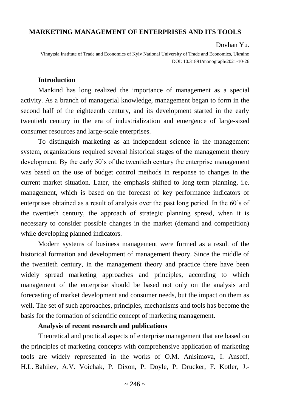### **MARKETING MANAGEMENT OF ENTERPRISES AND ITS TOOLS**

#### Dovhan Yu.

Vinnytsia Institute of Trade and Economics of Kyiv National University of Trade and Economics, Ukraine DOI: 10.31891/monograph/2021-10-26

#### **Introduction**

Mankind has long realized the importance of management as a special activity. As a branch of managerial knowledge, management began to form in the second half of the eighteenth century, and its development started in the early twentieth century in the era of industrialization and emergence of large-sized consumer resources and large-scale enterprises.

To distinguish marketing as an independent science in the management system, organizations required several historical stages of the management theory development. By the early 50's of the twentieth century the enterprise management was based on the use of budget control methods in response to changes in the current market situation. Later, the emphasis shifted to long-term planning, i.e. management, which is based on the forecast of key performance indicators of enterprises obtained as a result of analysis over the past long period. In the 60's of the twentieth century, the approach of strategic planning spread, when it is necessary to consider possible changes in the market (demand and competition) while developing planned indicators.

Modern systems of business management were formed as a result of the historical formation and development of management theory. Since the middle of the twentieth century, in the management theory and practice there have been widely spread marketing approaches and principles, according to which management of the enterprise should be based not only on the analysis and forecasting of market development and consumer needs, but the impact on them as well. The set of such approaches, principles, mechanisms and tools has become the basis for the formation of scientific concept of marketing management.

#### **Analysis of recent research and publications**

Theoretical and practical aspects of enterprise management that are based on the principles of marketing concepts with comprehensive application of marketing tools are widely represented in the works of O.M. Anisimova, I. Ansoff, H.L. Bahiiev, A.V. Voichak, P. Dixon, P. Doyle, P. Drucker, F. Kotler, J.-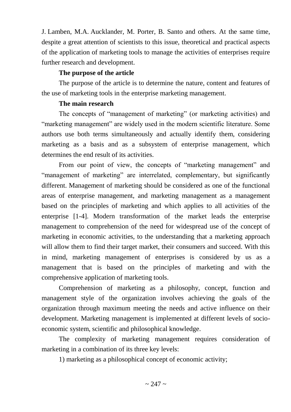J. Lamben, M.A. Aucklander, M. Porter, B. Santo and others. At the same time, despite a great attention of scientists to this issue, theoretical and practical aspects of the application of marketing tools to manage the activities of enterprises require further research and development.

### **The purpose of the article**

The purpose of the article is to determine the nature, content and features of the use of marketing tools in the enterprise marketing management.

### **The main research**

The concepts of "management of marketing" (or marketing activities) and "marketing management" are widely used in the modern scientific literature. Some authors use both terms simultaneously and actually identify them, considering marketing as a basis and as a subsystem of enterprise management, which determines the end result of its activities.

From our point of view, the concepts of "marketing management" and "management of marketing" are interrelated, complementary, but significantly different. Management of marketing should be considered as one of the functional areas of enterprise management, and marketing management as a management based on the principles of marketing and which applies to all activities of the enterprise [1-4]. Modern transformation of the market leads the enterprise management to comprehension of the need for widespread use of the concept of marketing in economic activities, to the understanding that a marketing approach will allow them to find their target market, their consumers and succeed. With this in mind, marketing management of enterprises is considered by us as a management that is based on the principles of marketing and with the comprehensive application of marketing tools.

Comprehension of marketing as a philosophy, concept, function and management style of the organization involves achieving the goals of the organization through maximum meeting the needs and active influence on their development. Marketing management is implemented at different levels of socioeconomic system, scientific and philosophical knowledge.

The complexity of marketing management requires consideration of marketing in a combination of its three key levels:

1) marketing as a philosophical concept of economic activity;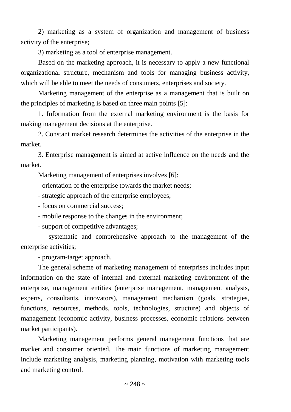2) marketing as a system of organization and management of business activity of the enterprise;

3) marketing as a tool of enterprise management.

Based on the marketing approach, it is necessary to apply a new functional organizational structure, mechanism and tools for managing business activity, which will be able to meet the needs of consumers, enterprises and society.

Marketing management of the enterprise as a management that is built on the principles of marketing is based on three main points [5]:

1. Information from the external marketing environment is the basis for making management decisions at the enterprise.

2. Constant market research determines the activities of the enterprise in the market.

3. Enterprise management is aimed at active influence on the needs and the market.

Marketing management of enterprises involves [6]:

- orientation of the enterprise towards the market needs;

- strategic approach of the enterprise employees;

- focus on commercial success;

- mobile response to the changes in the environment;

- support of competitive advantages;

- systematic and comprehensive approach to the management of the enterprise activities;

- program-target approach.

The general scheme of marketing management of enterprises includes input information on the state of internal and external marketing environment of the enterprise, management entities (enterprise management, management analysts, experts, consultants, innovators), management mechanism (goals, strategies, functions, resources, methods, tools, technologies, structure) and objects of management (economic activity, business processes, economic relations between market participants).

Marketing management performs general management functions that are market and consumer oriented. The main functions of marketing management include marketing analysis, marketing planning, motivation with marketing tools and marketing control.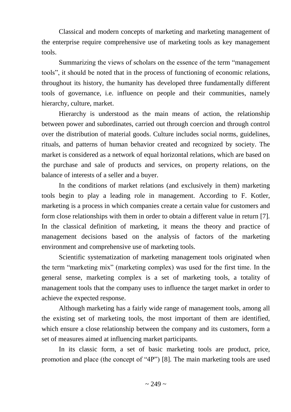Classical and modern concepts of marketing and marketing management of the enterprise require comprehensive use of marketing tools as key management tools.

Summarizing the views of scholars on the essence of the term "management tools", it should be noted that in the process of functioning of economic relations, throughout its history, the humanity has developed three fundamentally different tools of governance, i.e. influence on people and their communities, namely hierarchy, culture, market.

Hierarchy is understood as the main means of action, the relationship between power and subordinates, carried out through coercion and through control over the distribution of material goods. Culture includes social norms, guidelines, rituals, and patterns of human behavior created and recognized by society. The market is considered as a network of equal horizontal relations, which are based on the purchase and sale of products and services, on property relations, on the balance of interests of a seller and a buyer.

In the conditions of market relations (and exclusively in them) marketing tools begin to play a leading role in management. According to F. Kotler, marketing is a process in which companies create a certain value for customers and form close relationships with them in order to obtain a different value in return [7]. In the classical definition of marketing, it means the theory and practice of management decisions based on the analysis of factors of the marketing environment and comprehensive use of marketing tools.

Scientific systematization of marketing management tools originated when the term "marketing mix" (marketing complex) was used for the first time. In the general sense, marketing complex is a set of marketing tools, a totality of management tools that the company uses to influence the target market in order to achieve the expected response.

Although marketing has a fairly wide range of management tools, among all the existing set of marketing tools, the most important of them are identified, which ensure a close relationship between the company and its customers, form a set of measures aimed at influencing market participants.

In its classic form, a set of basic marketing tools are product, price, promotion and place (the concept of "4P") [8]. The main marketing tools are used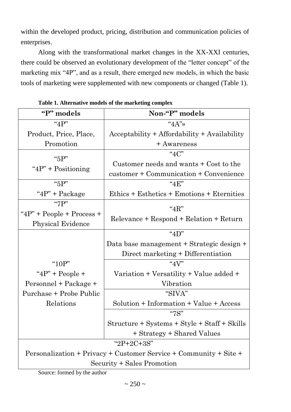within the developed product, pricing, distribution and communication policies of enterprises.

Along with the transformational market changes in the XX-XXI centuries, there could be observed an evolutionary development of the "letter concept" of the marketing mix "4P", and as a result, there emerged new models, in which the basic tools of marketing were supplemented with new components or changed (Table 1).

| Non-"P" models                                                    |  |  |  |
|-------------------------------------------------------------------|--|--|--|
| " $4A$ "                                                          |  |  |  |
| Acceptability + Affordability + Availability                      |  |  |  |
| + Awareness                                                       |  |  |  |
| " $4C$ "                                                          |  |  |  |
| Customer needs and wants + Cost to the                            |  |  |  |
| customer + Communication + Convenience                            |  |  |  |
| "4F"                                                              |  |  |  |
| Ethics + Esthetics + Emotions + Eternities                        |  |  |  |
| " $4R"$                                                           |  |  |  |
|                                                                   |  |  |  |
| Relevance + Respond + Relation + Return                           |  |  |  |
| " $4D"$                                                           |  |  |  |
| Data base management + Strategic design +                         |  |  |  |
| Direct marketing + Differentiation                                |  |  |  |
| " $4V$ "                                                          |  |  |  |
| Variation + Versatility + Value added +                           |  |  |  |
| Vibration                                                         |  |  |  |
| "SIVA"                                                            |  |  |  |
| Solution + Information + Value + Access                           |  |  |  |
| "7S"                                                              |  |  |  |
| Structure + Systems + Style + Staff + Skills                      |  |  |  |
| + Strategy + Shared Values                                        |  |  |  |
| " $2P+2C+3S$ "                                                    |  |  |  |
| Personalization + Privacy + Customer Service + Community + Site + |  |  |  |
| Security + Sales Promotion                                        |  |  |  |
|                                                                   |  |  |  |

**Table 1. Alternative models of the marketing complex**

Source: formed by the author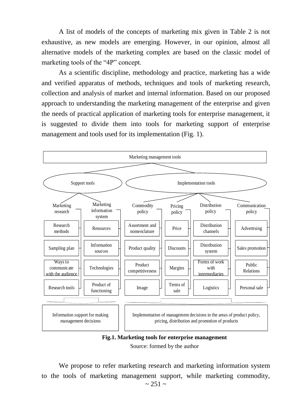A list of models of the concepts of marketing mix given in Table 2 is not exhaustive, as new models are emerging. However, in our opinion, almost all alternative models of the marketing complex are based on the classic model of marketing tools of the "4P" concept.

As a scientific discipline, methodology and practice, marketing has a wide and verified apparatus of methods, techniques and tools of marketing research, collection and analysis of market and internal information. Based on our proposed approach to understanding the marketing management of the enterprise and given the needs of practical application of marketing tools for enterprise management, it is suggested to divide them into tools for marketing support of enterprise management and tools used for its implementation (Fig. 1).



**Fig.1. Marketing tools for enterprise management** Source: formed by the author

 $~251~$ ~ We propose to refer marketing research and marketing information system to the tools of marketing management support, while marketing commodity,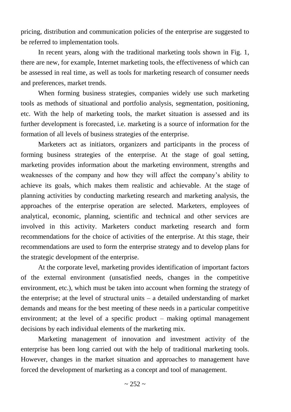pricing, distribution and communication policies of the enterprise are suggested to be referred to implementation tools.

In recent years, along with the traditional marketing tools shown in Fig. 1, there are new, for example, Internet marketing tools, the effectiveness of which can be assessed in real time, as well as tools for marketing research of consumer needs and preferences, market trends.

When forming business strategies, companies widely use such marketing tools as methods of situational and portfolio analysis, segmentation, positioning, etc. With the help of marketing tools, the market situation is assessed and its further development is forecasted, i.e. marketing is a source of information for the formation of all levels of business strategies of the enterprise.

Marketers act as initiators, organizers and participants in the process of forming business strategies of the enterprise. At the stage of goal setting, marketing provides information about the marketing environment, strengths and weaknesses of the company and how they will affect the company's ability to achieve its goals, which makes them realistic and achievable. At the stage of planning activities by conducting marketing research and marketing analysis, the approaches of the enterprise operation are selected. Marketers, employees of analytical, economic, planning, scientific and technical and other services are involved in this activity. Marketers conduct marketing research and form recommendations for the choice of activities of the enterprise. At this stage, their recommendations are used to form the enterprise strategy and to develop plans for the strategic development of the enterprise.

At the corporate level, marketing provides identification of important factors of the external environment (unsatisfied needs, changes in the competitive environment, etc.), which must be taken into account when forming the strategy of the enterprise; at the level of structural units – a detailed understanding of market demands and means for the best meeting of these needs in a particular competitive environment; at the level of a specific product – making optimal management decisions by each individual elements of the marketing mix.

Marketing management of innovation and investment activity of the enterprise has been long carried out with the help of traditional marketing tools. However, changes in the market situation and approaches to management have forced the development of marketing as a concept and tool of management.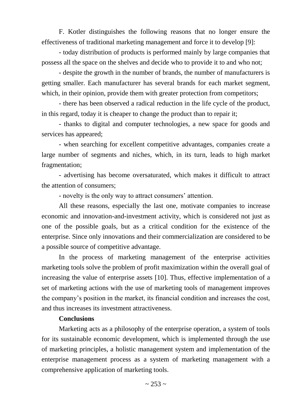F. Kotler distinguishes the following reasons that no longer ensure the effectiveness of traditional marketing management and force it to develop [9]:

- today distribution of products is performed mainly by large companies that possess all the space on the shelves and decide who to provide it to and who not;

- despite the growth in the number of brands, the number of manufacturers is getting smaller. Each manufacturer has several brands for each market segment, which, in their opinion, provide them with greater protection from competitors;

- there has been observed a radical reduction in the life cycle of the product, in this regard, today it is cheaper to change the product than to repair it;

- thanks to digital and computer technologies, a new space for goods and services has appeared;

- when searching for excellent competitive advantages, companies create a large number of segments and niches, which, in its turn, leads to high market fragmentation;

- advertising has become oversaturated, which makes it difficult to attract the attention of consumers;

- novelty is the only way to attract consumers' attention.

All these reasons, especially the last one, motivate companies to increase economic and innovation-and-investment activity, which is considered not just as one of the possible goals, but as a critical condition for the existence of the enterprise. Since only innovations and their commercialization are considered to be a possible source of competitive advantage.

In the process of marketing management of the enterprise activities marketing tools solve the problem of profit maximization within the overall goal of increasing the value of enterprise assets [10]. Thus, effective implementation of a set of marketing actions with the use of marketing tools of management improves the company's position in the market, its financial condition and increases the cost, and thus increases its investment attractiveness.

### **Conclusions**

Marketing acts as a philosophy of the enterprise operation, a system of tools for its sustainable economic development, which is implemented through the use of marketing principles, a holistic management system and implementation of the enterprise management process as a system of marketing management with a comprehensive application of marketing tools.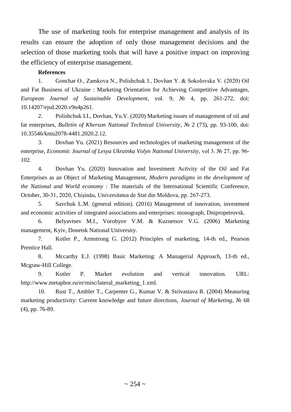The use of marketing tools for enterprise management and analysis of its results can ensure the adoption of only those management decisions and the selection of those marketing tools that will have a positive impact on improving the efficiency of enterprise management.

#### **References**

1. Gonchar О., Zamkova N., Polishchuk I., Dovhan Y. & Sokolovska V. (2020) Oil and Fat Business of Ukraine : Marketing Orientation for Achieving Competitive Advantages, *European Journal of Sustainable Development*, vol. 9, № 4, pp. 261-272, doi: 10.14207/ejsd.2020.v9n4p261.

2. Polishchuk I.I., Dovhan, Yu.V. (2020) Marketing issues of management of oil and fat enterprises, *Bulletin of Kherson National Technical University*, № 2 (73), pp. 93-100, doi: 10.35546/kntu2078-4481.2020.2.12.

3. Dovhan Yu. (2021) Resources and technologies of marketing management of the enterprise, *Economic Journal of Lesya Ukrainka Volyn National University,* vol 3. № 27, pp. 96- 102.

4. Dovhan Yu. (2020) Innovation and Investment Activity of the Oil and Fat Enterprises as an Object of Marketing Management, *Modern paradigms in the development of the National and World economy* : The materials of the International Scientific Conference, October, 30-31, 2020, Chișinău, Universitatea de Stat din Moldova, pp. 267-273.

5. Savchuk L.M. (general edition). (2016) Management of innovation, investment and economic activities of integrated associations and enterprises: monograph, Dnipropetrovsk.

6. Belyavtsev M.I., Vorobyov V.M. & Kuznetsov V.G. (2006) Marketing management, Kyiv, Donetsk National University.

7. Kotler P., Armstrong G. (2012) Principles of marketing, 14-th ed., Pearson Prentice Hall.

8. Mccarthy E.J. (1998) Basic Marketing: A Managerial Approach, 13-th ed., Mcgraw-Hill College.

9. Kotler P. Market evolution and vertical innovation. URL: http://www.metaphor.ru/er/misc/lateral\_marketing\_1.xml.

10. Rust T., Ambler T., Carpenter G., Kumar V. & Strivastava R. (2004) Measuring marketing productivity: Current knowledge and future directions, *Journal of Marketing*, № 68 (4), pp. 76-89.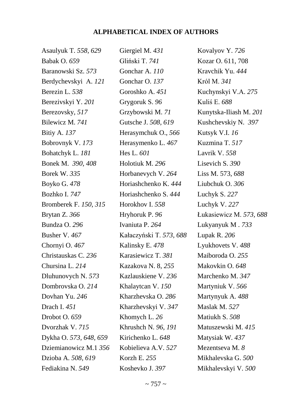## **ALPHABETICAL INDEX OF AUTHORS**

| Asaulyuk T. 558, 629   | Giergiel M. 431         | Kovalyov Y. 726         |
|------------------------|-------------------------|-------------------------|
| <b>Babak O. 659</b>    | Gliński T. 741          | Kozar O. 611, 708       |
| Baranowski Sz. 573     | Gonchar A. 110          | Kravchik Yu. 444        |
| Berdychevskyi A. 121   | Gonchar O. 137          | Król M. 341             |
| Berezin L. 538         | Goroshko A. 451         | Kuchynskyi V.A. 275     |
| Berezivskyi Y. 201     | Grygoruk S. 96          | Kuliś E. 688            |
| Berezovsky, 517        | Grzybowski M. 71        | Kunytska-Iliash M. 201  |
| Bilewicz M. 741        | Gutsche J. 508, 619     | Kushchevskiy N. 397     |
| Bitiy A. 137           | Herasymchuk O., 566     | Kutsyk V.I. 16          |
| Bobrovnyk V. 173       | Herasymenko L. 467      | Kuzmina T. 517          |
| Bohatchyk L. 181       | Hes L. 601              | Lavrik V. 558           |
| Bonek M. 390, 408      | Holotiuk M. 296         | Lisevich S. 390         |
| Borek W. 335           | Horbanevych V. 264      | Liss M. 573, 688        |
| Boyko G. 478           | Horiashchenko K. 444    | Liubchuk O. 306         |
| Bozhko I. 747          | Horiashchenko S. 444    | Luchyk S. 227           |
| Bromberek F. 150, 315  | Horokhov I. 558         | Luchyk V. 227           |
| Brytan Z. 366          | Hryhoruk P. 96          | Łukasiewicz M. 573, 688 |
| Bundza O. 296          | Ivaniuta P. 264         | Lukyanyuk M. 733        |
| Busher V. 467          | Kałaczyński T. 573, 688 | Lupak R. 206            |
| Chornyi O. 467         | Kalinsky E. 478         | Lyukhovets V. 488       |
| Christauskas C. 236    | Karasiewicz T. 381      | Maiboroda O. 255        |
| Chursina L. 214        | Kazakova N. 8, 255      | Makovkin O. 648         |
| Dluhunovych N. 573     | Kazlauskiene V. 236     | Marchenko M. 347        |
| Dombrovska O. 214      | Khalaytean V. 150       | Martyniuk V. 566        |
| Dovhan Yu. 246         | Kharzhevska O. 286      | Martynyuk A. 488        |
| Drach I. 451           | Kharzhevskyi V. 347     | Maslak M. 527           |
| Drobot O. 659          | Khomych L. $26$         | Matiukh S. 508          |
| Dvorzhak V. 715        | Khrushch N. 96, 191     | Matuszewski M. 415      |
| Dykha O. 573, 648, 659 | Kirichenko L. 648       | Matysiak W. 437         |
| Dziemianowicz M.1 356  | Kobielieva A.V. 527     | Mezentseva M. 8         |
| Dzioba A. 508, 619     | Korzh E. 255            | Mikhalevska G. 500      |
| Fediakina N. 549       | Koshevko J. 397         | Mikhalevskyi V. 500     |